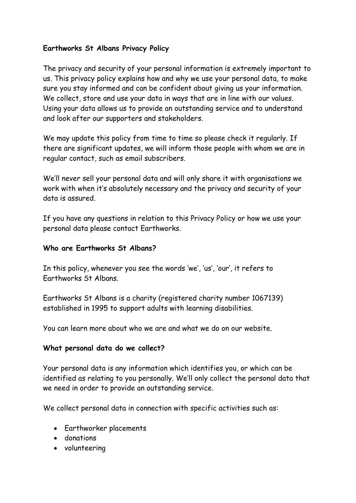# **Earthworks St Albans Privacy Policy**

The privacy and security of your personal information is extremely important to us. This privacy policy explains how and why we use your personal data, to make sure you stay informed and can be confident about giving us your information. We collect, store and use your data in ways that are in line with our values. Using your data allows us to provide an outstanding service and to understand and look after our supporters and stakeholders.

We may update this policy from time to time so please check it regularly. If there are significant updates, we will inform those people with whom we are in regular contact, such as email subscribers.

We'll never sell your personal data and will only share it with organisations we work with when it's absolutely necessary and the privacy and security of your data is assured.

If you have any questions in relation to this Privacy Policy or how we use your personal data please contact Earthworks.

### **Who are Earthworks St Albans?**

In this policy, whenever you see the words 'we', 'us', 'our', it refers to Earthworks St Albans.

Earthworks St Albans is a charity (registered charity number 1067139) established in 1995 to support adults with learning disabilities.

You can learn more about who we are and what we do on our website.

#### **What personal data do we collect?**

Your personal data is any information which identifies you, or which can be identified as relating to you personally. We'll only collect the personal data that we need in order to provide an outstanding service.

We collect personal data in connection with specific activities such as:

- Earthworker placements
- donations
- volunteering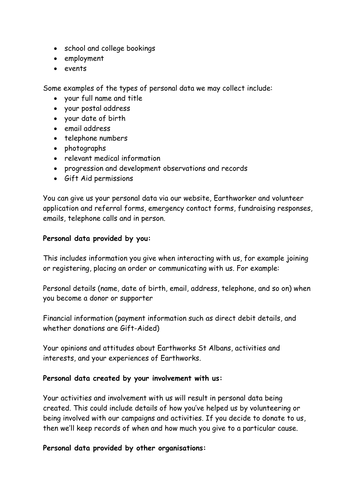- school and college bookings
- employment
- events

Some examples of the types of personal data we may collect include:

- your full name and title
- your postal address
- your date of birth
- email address
- telephone numbers
- photographs
- relevant medical information
- progression and development observations and records
- Gift Aid permissions

You can give us your personal data via our website, Earthworker and volunteer application and referral forms, emergency contact forms, fundraising responses, emails, telephone calls and in person.

#### **Personal data provided by you:**

This includes information you give when interacting with us, for example joining or registering, placing an order or communicating with us. For example:

Personal details (name, date of birth, email, address, telephone, and so on) when you become a donor or supporter

Financial information (payment information such as direct debit details, and whether donations are Gift-Aided)

Your opinions and attitudes about Earthworks St Albans, activities and interests, and your experiences of Earthworks.

#### **Personal data created by your involvement with us:**

Your activities and involvement with us will result in personal data being created. This could include details of how you've helped us by volunteering or being involved with our campaigns and activities. If you decide to donate to us, then we'll keep records of when and how much you give to a particular cause.

#### **Personal data provided by other organisations:**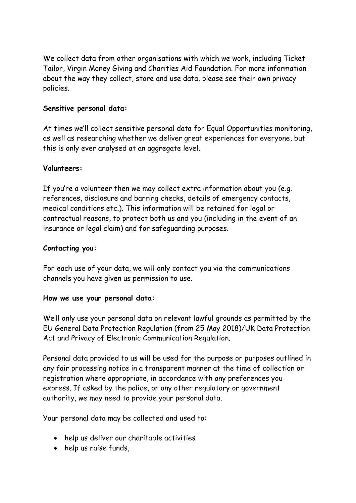We collect data from other organisations with which we work, including Ticket Tailor, Virgin Money Giving and Charities Aid Foundation. For more information about the way they collect, store and use data, please see their own privacy policies.

## **Sensitive personal data:**

At times we'll collect sensitive personal data for Equal Opportunities monitoring, as well as researching whether we deliver great experiences for everyone, but this is only ever analysed at an aggregate level.

### **Volunteers:**

If you're a volunteer then we may collect extra information about you (e.g. references, disclosure and barring checks, details of emergency contacts, medical conditions etc.). This information will be retained for legal or contractual reasons, to protect both us and you (including in the event of an insurance or legal claim) and for safeguarding purposes.

### **Contacting you:**

For each use of your data, we will only contact you via the communications channels you have given us permission to use.

#### **How we use your personal data:**

We'll only use your personal data on relevant lawful grounds as permitted by the EU General Data Protection Regulation (from 25 May 2018)/UK Data Protection Act and Privacy of Electronic Communication Regulation.

Personal data provided to us will be used for the purpose or purposes outlined in any fair processing notice in a transparent manner at the time of collection or registration where appropriate, in accordance with any preferences you express. If asked by the police, or any other regulatory or government authority, we may need to provide your personal data.

Your personal data may be collected and used to:

- help us deliver our charitable activities
- help us raise funds,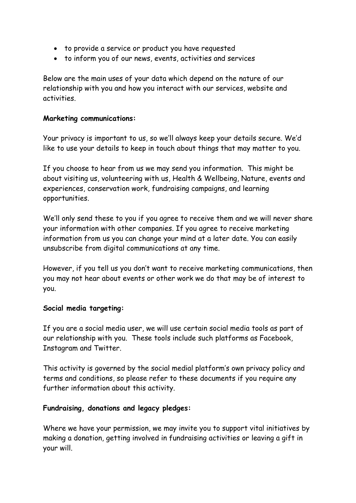- to provide a service or product you have requested
- to inform you of our news, events, activities and services

Below are the main uses of your data which depend on the nature of our relationship with you and how you interact with our services, website and activities.

#### **Marketing communications:**

Your privacy is important to us, so we'll always keep your details secure. We'd like to use your details to keep in touch about things that may matter to you.

If you choose to hear from us we may send you information. This might be about visiting us, volunteering with us, Health & Wellbeing, Nature, events and experiences, conservation work, fundraising campaigns, and learning opportunities.

We'll only send these to you if you agree to receive them and we will never share your information with other companies. If you agree to receive marketing information from us you can change your mind at a later date. You can easily unsubscribe from digital communications at any time.

However, if you tell us you don't want to receive marketing communications, then you may not hear about events or other work we do that may be of interest to you.

#### **Social media targeting:**

If you are a social media user, we will use certain social media tools as part of our relationship with you. These tools include such platforms as Facebook, Instagram and Twitter.

This activity is governed by the social medial platform's own privacy policy and terms and conditions, so please refer to these documents if you require any further information about this activity.

#### **Fundraising, donations and legacy pledges:**

Where we have your permission, we may invite you to support vital initiatives by making a donation, getting involved in fundraising activities or leaving a gift in your will.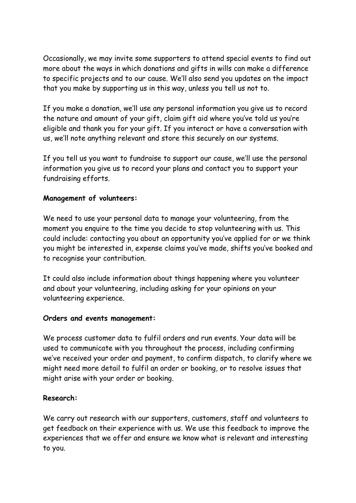Occasionally, we may invite some supporters to attend special events to find out more about the ways in which donations and gifts in wills can make a difference to specific projects and to our cause. We'll also send you updates on the impact that you make by supporting us in this way, unless you tell us not to.

If you make a donation, we'll use any personal information you give us to record the nature and amount of your gift, claim gift aid where you've told us you're eligible and thank you for your gift. If you interact or have a conversation with us, we'll note anything relevant and store this securely on our systems.

If you tell us you want to fundraise to support our cause, we'll use the personal information you give us to record your plans and contact you to support your fundraising efforts.

## **Management of volunteers:**

We need to use your personal data to manage your volunteering, from the moment you enquire to the time you decide to stop volunteering with us. This could include: contacting you about an opportunity you've applied for or we think you might be interested in, expense claims you've made, shifts you've booked and to recognise your contribution.

It could also include information about things happening where you volunteer and about your volunteering, including asking for your opinions on your volunteering experience.

#### **Orders and events management:**

We process customer data to fulfil orders and run events. Your data will be used to communicate with you throughout the process, including confirming we've received your order and payment, to confirm dispatch, to clarify where we might need more detail to fulfil an order or booking, or to resolve issues that might arise with your order or booking.

#### **Research:**

We carry out research with our supporters, customers, staff and volunteers to get feedback on their experience with us. We use this feedback to improve the experiences that we offer and ensure we know what is relevant and interesting to you.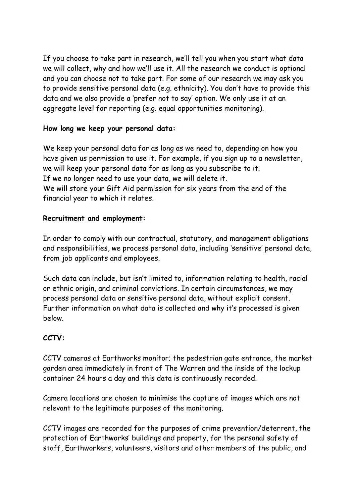If you choose to take part in research, we'll tell you when you start what data we will collect, why and how we'll use it. All the research we conduct is optional and you can choose not to take part. For some of our research we may ask you to provide sensitive personal data (e.g. ethnicity). You don't have to provide this data and we also provide a 'prefer not to say' option. We only use it at an aggregate level for reporting (e.g. equal opportunities monitoring).

## **How long we keep your personal data:**

We keep your personal data for as long as we need to, depending on how you have given us permission to use it. For example, if you sign up to a newsletter, we will keep your personal data for as long as you subscribe to it. If we no longer need to use your data, we will delete it. We will store your Gift Aid permission for six years from the end of the financial year to which it relates.

### **Recruitment and employment:**

In order to comply with our contractual, statutory, and management obligations and responsibilities, we process personal data, including 'sensitive' personal data, from job applicants and employees.

Such data can include, but isn't limited to, information relating to health, racial or ethnic origin, and criminal convictions. In certain circumstances, we may process personal data or sensitive personal data, without explicit consent. Further information on what data is collected and why it's processed is given below.

## **CCTV:**

CCTV cameras at Earthworks monitor; the pedestrian gate entrance, the market garden area immediately in front of The Warren and the inside of the lockup container 24 hours a day and this data is continuously recorded.

Camera locations are chosen to minimise the capture of images which are not relevant to the legitimate purposes of the monitoring.

CCTV images are recorded for the purposes of crime prevention/deterrent, the protection of Earthworks' buildings and property, for the personal safety of staff, Earthworkers, volunteers, visitors and other members of the public, and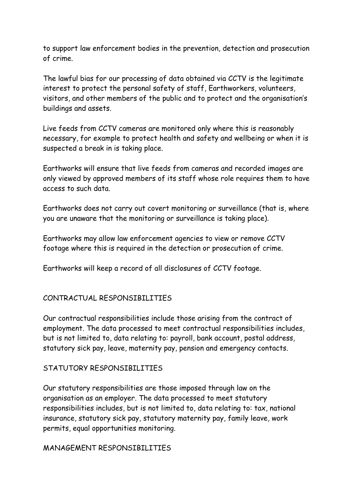to support law enforcement bodies in the prevention, detection and prosecution of crime.

The lawful bias for our processing of data obtained via CCTV is the legitimate interest to protect the personal safety of staff, Earthworkers, volunteers, visitors, and other members of the public and to protect and the organisation's buildings and assets.

Live feeds from CCTV cameras are monitored only where this is reasonably necessary, for example to protect health and safety and wellbeing or when it is suspected a break in is taking place.

Earthworks will ensure that live feeds from cameras and recorded images are only viewed by approved members of its staff whose role requires them to have access to such data.

Earthworks does not carry out covert monitoring or surveillance (that is, where you are unaware that the monitoring or surveillance is taking place).

Earthworks may allow law enforcement agencies to view or remove CCTV footage where this is required in the detection or prosecution of crime.

Earthworks will keep a record of all disclosures of CCTV footage.

## CONTRACTUAL RESPONSIBILITIES

Our contractual responsibilities include those arising from the contract of employment. The data processed to meet contractual responsibilities includes, but is not limited to, data relating to: payroll, bank account, postal address, statutory sick pay, leave, maternity pay, pension and emergency contacts.

## STATUTORY RESPONSIBILITIES

Our statutory responsibilities are those imposed through law on the organisation as an employer. The data processed to meet statutory responsibilities includes, but is not limited to, data relating to: tax, national insurance, statutory sick pay, statutory maternity pay, family leave, work permits, equal opportunities monitoring.

#### MANAGEMENT RESPONSIBILITIES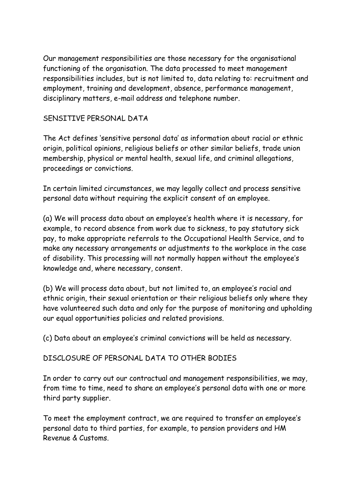Our management responsibilities are those necessary for the organisational functioning of the organisation. The data processed to meet management responsibilities includes, but is not limited to, data relating to: recruitment and employment, training and development, absence, performance management, disciplinary matters, e-mail address and telephone number.

# SENSITIVE PERSONAL DATA

The Act defines 'sensitive personal data' as information about racial or ethnic origin, political opinions, religious beliefs or other similar beliefs, trade union membership, physical or mental health, sexual life, and criminal allegations, proceedings or convictions.

In certain limited circumstances, we may legally collect and process sensitive personal data without requiring the explicit consent of an employee.

(a) We will process data about an employee's health where it is necessary, for example, to record absence from work due to sickness, to pay statutory sick pay, to make appropriate referrals to the Occupational Health Service, and to make any necessary arrangements or adjustments to the workplace in the case of disability. This processing will not normally happen without the employee's knowledge and, where necessary, consent.

(b) We will process data about, but not limited to, an employee's racial and ethnic origin, their sexual orientation or their religious beliefs only where they have volunteered such data and only for the purpose of monitoring and upholding our equal opportunities policies and related provisions.

(c) Data about an employee's criminal convictions will be held as necessary.

# DISCLOSURE OF PERSONAL DATA TO OTHER BODIES

In order to carry out our contractual and management responsibilities, we may, from time to time, need to share an employee's personal data with one or more third party supplier.

To meet the employment contract, we are required to transfer an employee's personal data to third parties, for example, to pension providers and HM Revenue & Customs.